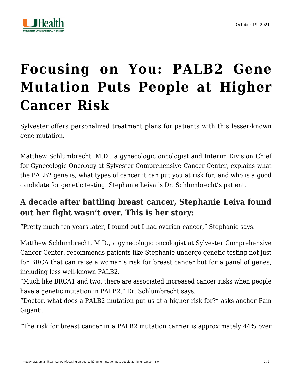

## **[Focusing on You: PALB2 Gene](https://news.umiamihealth.org/en/focusing-on-you-palb2-gene-mutation-puts-people-at-higher-cancer-risk/) [Mutation Puts People at Higher](https://news.umiamihealth.org/en/focusing-on-you-palb2-gene-mutation-puts-people-at-higher-cancer-risk/) [Cancer Risk](https://news.umiamihealth.org/en/focusing-on-you-palb2-gene-mutation-puts-people-at-higher-cancer-risk/)**

Sylvester offers personalized treatment plans for patients with this lesser-known gene mutation.

Matthew Schlumbrecht, M.D., a gynecologic oncologist and Interim Division Chief for Gynecologic Oncology at Sylvester Comprehensive Cancer Center, explains what the PALB2 gene is, what types of cancer it can put you at risk for, and who is a good candidate for genetic testing. Stephanie Leiva is Dr. Schlumbrecht's patient.

## **A decade after battling breast cancer, Stephanie Leiva found out her fight wasn't over. This is her story:**

"Pretty much ten years later, I found out I had ovarian cancer," Stephanie says.

Matthew Schlumbrecht, M.D., a gynecologic oncologist at Sylvester Comprehensive Cancer Center, recommends patients like Stephanie undergo genetic testing not just for BRCA that can raise a woman's risk for breast cancer but for a panel of genes, including less well-known PALB2.

"Much like BRCA1 and two, there are associated increased cancer risks when people have a genetic mutation in PALB2," Dr. Schlumbrecht says.

"Doctor, what does a PALB2 mutation put us at a higher risk for?" asks anchor Pam Giganti.

"The risk for breast cancer in a PALB2 mutation carrier is approximately 44% over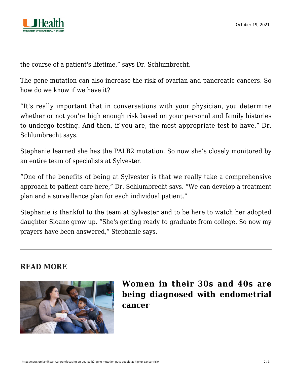

the course of a patient's lifetime," says Dr. Schlumbrecht.

The gene mutation can also increase the risk of ovarian and pancreatic cancers. So how do we know if we have it?

"It's really important that in conversations with your physician, you determine whether or not you're high enough risk based on your personal and family histories to undergo testing. And then, if you are, the most appropriate test to have," Dr. Schlumbrecht says.

Stephanie learned she has the PALB2 mutation. So now she's closely monitored by an entire team of specialists at Sylvester.

"One of the benefits of being at Sylvester is that we really take a comprehensive approach to patient care here," Dr. Schlumbrecht says. "We can develop a treatment plan and a surveillance plan for each individual patient."

Stephanie is thankful to the team at Sylvester and to be here to watch her adopted daughter Sloane grow up. "She's getting ready to graduate from college. So now my prayers have been answered," Stephanie says.

## **READ MORE**



## **[Women in their 30s and 40s are](https://news.umiamihealth.org/en/why-are-more-younger-women-being-diagnosed-with-endometrial-cancer/) [being diagnosed with endometrial](https://news.umiamihealth.org/en/why-are-more-younger-women-being-diagnosed-with-endometrial-cancer/) [cancer](https://news.umiamihealth.org/en/why-are-more-younger-women-being-diagnosed-with-endometrial-cancer/)**